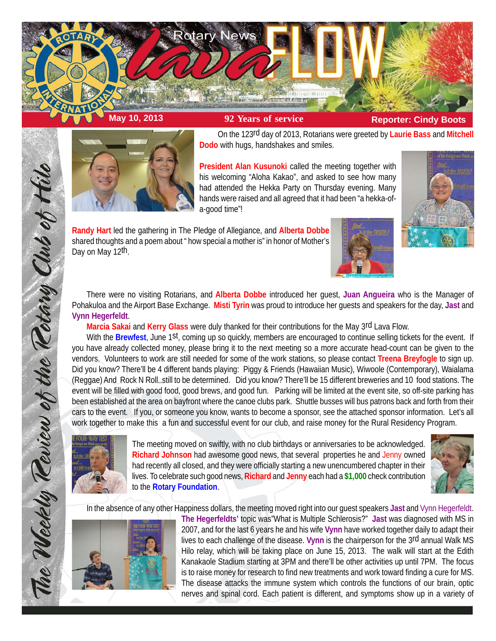



On the 123rd day of 2013, Rotarians were greeted by **Laurie Bass** and **Mitchell Dodo** with hugs, handshakes and smiles.

**President Alan Kusunoki** called the meeting together with his welcoming "Aloha Kakao", and asked to see how many had attended the Hekka Party on Thursday evening. Many hands were raised and all agreed that it had been "a hekka-ofa-good time"!

**Randy Hart** led the gathering in The Pledge of Allegiance, and **Alberta Dobbe** shared thoughts and a poem about " how special a mother is" in honor of Mother's Day on May 12th.





There were no visiting Rotarians, and **Alberta Dobbe** introduced her guest, **Juan Angueira** who is the Manager of Pohakuloa and the Airport Base Exchange. **Misti Tyrin** was proud to introduce her guests and speakers for the day, **Jast** and **Vynn Hegerfeldt**.

**Marcia Sakai** and **Kerry Glass** were duly thanked for their contributions for the May 3rd Lava Flow.

With the **Brewfest**, June 1st, coming up so quickly, members are encouraged to continue selling tickets for the event. If you have already collected money, please bring it to the next meeting so a more accurate head-count can be given to the vendors. Volunteers to work are still needed for some of the work stations, so please contact **Treena Breyfogle** to sign up. Did you know? There'll be 4 different bands playing: Piggy & Friends (Hawaiian Music), Wiwoole (Contemporary), Waialama (Reggae) And Rock N Roll..still to be determined. Did you know? There'll be 15 different breweries and 10 food stations. The event will be filled with good food, good brews, and good fun. Parking will be limited at the event site, so off-site parking has been established at the area on bayfront where the canoe clubs park. Shuttle busses will bus patrons back and forth from their cars to the event. If you, or someone you know, wants to become a sponsor, see the attached sponsor information. Let's all work together to make this a fun and successful event for our club, and raise money for the Rural Residency Program.



The Weekly Teview of the Tetary Club of Hilo

The meeting moved on swiftly, with no club birthdays or anniversaries to be acknowledged. **Richard Johnson** had awesome good news, that several properties he and Jenny owned had recently all closed, and they were officially starting a new unencumbered chapter in their lives. To celebrate such good news, **Richard** and **Jenny** each had a **\$1,000** check contribution to the **Rotary Foundation**.



In the absence of any other Happiness dollars, the meeting moved right into our guest speakers **Jast** and Vynn Hegerfeldt.



**The Hegerfeldts'** topic was"What is Multiple Schlerosis?" **Jast** was diagnosed with MS in 2007, and for the last 6 years he and his wife **Vynn** have worked together daily to adapt their lives to each challenge of the disease. **Vynn** is the chairperson for the 3rd annual Walk MS Hilo relay, which will be taking place on June 15, 2013. The walk will start at the Edith Kanakaole Stadium starting at 3PM and there'll be other activities up until 7PM. The focus is to raise money for research to find new treatments and work toward finding a cure for MS. The disease attacks the immune system which controls the functions of our brain, optic nerves and spinal cord. Each patient is different, and symptoms show up in a variety of